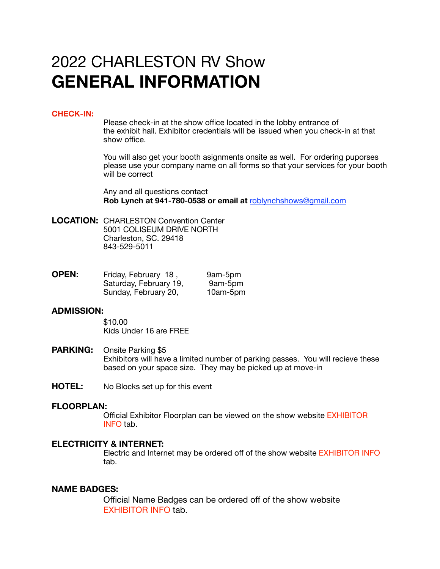# 2022 CHARLESTON RV Show **GENERAL INFORMATION**

# **CHECK-IN:**

 Please check-in at the show office located in the lobby entrance of the exhibit hall. Exhibitor credentials will be issued when you check-in at that show office.

 You will also get your booth asignments onsite as well. For ordering puporses please use your company name on all forms so that your services for your booth will be correct

 Any and all questions contact **Rob Lynch at 941-780-0538 or email at** [roblynchshows@gmail.com](mailto:roblynchshows@gmail.com)

**LOCATION:** CHARLESTON Convention Center 5001 COLISEUM DRIVE NORTH Charleston, SC. 29418 843-529-5011

| <b>OPEN:</b> | Friday, February 18,   | 9am-5pm  |
|--------------|------------------------|----------|
|              | Saturday, February 19, | 9am-5pm  |
|              | Sunday, February 20,   | 10am-5pm |

### **ADMISSION:**

\$10.00 Kids Under 16 are FREE

- **PARKING:** Onsite Parking \$5 Exhibitors will have a limited number of parking passes. You will recieve these based on your space size. They may be picked up at move-in
- **HOTEL:** No Blocks set up for this event

#### **FLOORPLAN:**

 Official Exhibitor Floorplan can be viewed on the show website EXHIBITOR INFO tab.

# **ELECTRICITY & INTERNET:**

 Electric and Internet may be ordered off of the show website EXHIBITOR INFO tab.

# **NAME BADGES:**

Official Name Badges can be ordered off of the show website EXHIBITOR INFO tab.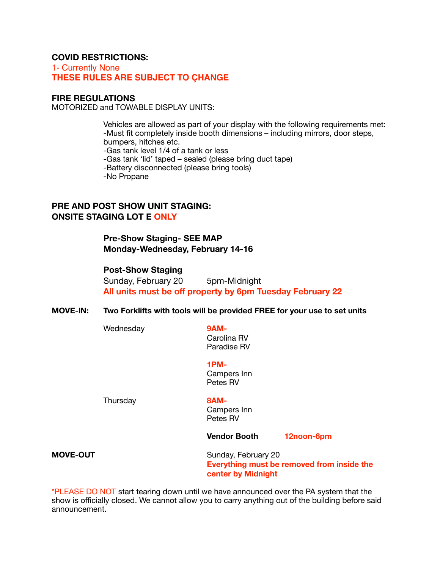# **COVID RESTRICTIONS:**

1- Currently None **THESE RULES ARE SUBJECT TO ÇHANGE**

## **FIRE REGULATIONS**

MOTORIZED and TOWABLE DISPLAY UNITS:

 Vehicles are allowed as part of your display with the following requirements met: -Must fit completely inside booth dimensions – including mirrors, door steps, bumpers, hitches etc.

 -Gas tank level 1/4 of a tank or less

 -Gas tank 'lid' taped – sealed (please bring duct tape)

 -Battery disconnected (please bring tools)

 -No Propane

# **PRE AND POST SHOW UNIT STAGING: ONSITE STAGING LOT E ONLY**

**Pre-Show Staging- SEE MAP Monday-Wednesday, February 14-16** 

# **Post-Show Staging**

Sunday, February 20 5pm-Midnight **All units must be off property by 6pm Tuesday February 22** 

#### **MOVE-IN: Two Forklifts with tools will be provided FREE for your use to set units**

Wednesday **9AM-**

Carolina RV

 Paradise RV

 **1PM-**Campers Inn Petes RV 

Thursday **8AM-**

Campers Inn Petes RV

**Vendor Booth 12noon-6pm** 

**MOVE-OUT** Sunday, February 20 **Everything must be removed from inside the center by Midnight** 

\*PLEASE DO NOT start tearing down until we have announced over the PA system that the show is officially closed. We cannot allow you to carry anything out of the building before said announcement.